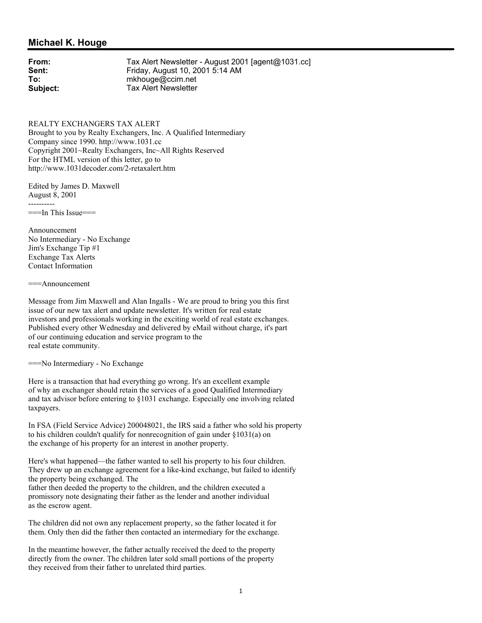## **Michael K. Houge**

**From:** Tax Alert Newsletter - August 2001 [agent@1031.cc]<br> **Sent:** Friday. August 10. 2001 5:14 AM **Sent:** Friday, August 10, 2001 5:14 AM<br> **To:** mkhouge@ccim.net **To:** mkhouge@ccim.net **Subject:** Tax Alert Newsletter

REALTY EXCHANGERS TAX ALERT Brought to you by Realty Exchangers, Inc. A Qualified Intermediary Company since 1990. http://www.1031.cc Copyright 2001~Realty Exchangers, Inc~All Rights Reserved For the HTML version of this letter, go to http://www.1031decoder.com/2-retaxalert.htm

Edited by James D. Maxwell August 8, 2001 ----------

 $==$ In This Issue $==$ 

Announcement No Intermediary - No Exchange Jim's Exchange Tip #1 Exchange Tax Alerts Contact Information

===Announcement

Message from Jim Maxwell and Alan Ingalls - We are proud to bring you this first issue of our new tax alert and update newsletter. It's written for real estate investors and professionals working in the exciting world of real estate exchanges. Published every other Wednesday and delivered by eMail without charge, it's part of our continuing education and service program to the real estate community.

===No Intermediary - No Exchange

Here is a transaction that had everything go wrong. It's an excellent example of why an exchanger should retain the services of a good Qualified Intermediary and tax advisor before entering to §1031 exchange. Especially one involving related taxpayers.

In FSA (Field Service Advice) 200048021, the IRS said a father who sold his property to his children couldn't qualify for nonrecognition of gain under §1031(a) on the exchange of his property for an interest in another property.

Here's what happened—the father wanted to sell his property to his four children. They drew up an exchange agreement for a like-kind exchange, but failed to identify the property being exchanged. The

father then deeded the property to the children, and the children executed a promissory note designating their father as the lender and another individual as the escrow agent.

The children did not own any replacement property, so the father located it for them. Only then did the father then contacted an intermediary for the exchange.

In the meantime however, the father actually received the deed to the property directly from the owner. The children later sold small portions of the property they received from their father to unrelated third parties.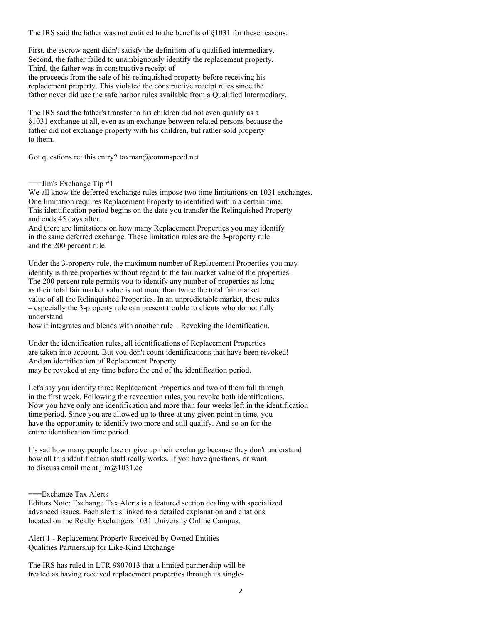The IRS said the father was not entitled to the benefits of §1031 for these reasons:

First, the escrow agent didn't satisfy the definition of a qualified intermediary. Second, the father failed to unambiguously identify the replacement property. Third, the father was in constructive receipt of the proceeds from the sale of his relinquished property before receiving his replacement property. This violated the constructive receipt rules since the father never did use the safe harbor rules available from a Qualified Intermediary.

The IRS said the father's transfer to his children did not even qualify as a §1031 exchange at all, even as an exchange between related persons because the father did not exchange property with his children, but rather sold property to them.

Got questions re: this entry? taxman@commspeed.net

 $=$ ==Jim's Exchange Tip  $#1$ 

We all know the deferred exchange rules impose two time limitations on 1031 exchanges. One limitation requires Replacement Property to identified within a certain time. This identification period begins on the date you transfer the Relinquished Property and ends 45 days after.

And there are limitations on how many Replacement Properties you may identify in the same deferred exchange. These limitation rules are the 3-property rule and the 200 percent rule.

Under the 3-property rule, the maximum number of Replacement Properties you may identify is three properties without regard to the fair market value of the properties. The 200 percent rule permits you to identify any number of properties as long as their total fair market value is not more than twice the total fair market value of all the Relinquished Properties. In an unpredictable market, these rules – especially the 3-property rule can present trouble to clients who do not fully understand

how it integrates and blends with another rule – Revoking the Identification.

Under the identification rules, all identifications of Replacement Properties are taken into account. But you don't count identifications that have been revoked! And an identification of Replacement Property

may be revoked at any time before the end of the identification period.

Let's say you identify three Replacement Properties and two of them fall through in the first week. Following the revocation rules, you revoke both identifications. Now you have only one identification and more than four weeks left in the identification time period. Since you are allowed up to three at any given point in time, you have the opportunity to identify two more and still qualify. And so on for the entire identification time period.

It's sad how many people lose or give up their exchange because they don't understand how all this identification stuff really works. If you have questions, or want to discuss email me at jim@1031.cc

===Exchange Tax Alerts

Editors Note: Exchange Tax Alerts is a featured section dealing with specialized advanced issues. Each alert is linked to a detailed explanation and citations located on the Realty Exchangers 1031 University Online Campus.

Alert 1 - Replacement Property Received by Owned Entities Qualifies Partnership for Like-Kind Exchange

The IRS has ruled in LTR 9807013 that a limited partnership will be treated as having received replacement properties through its single-